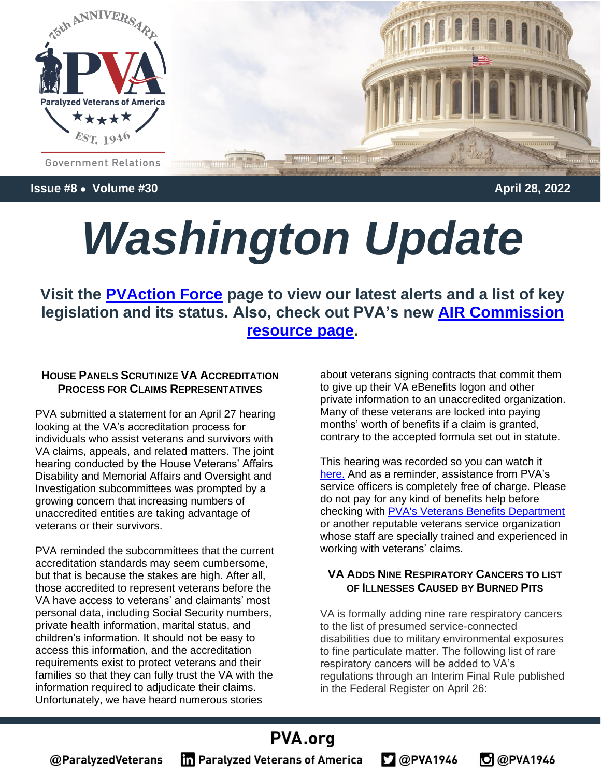

**Issue #8 •** Volume #30 **April 28, 2022 April 28, 2022** 

# *Washington Update*

**Visit the [PVAction Force](https://pva.org/research-resources/votervoice/) page to view our latest alerts and a list of key legislation and its status. Also, check out PVA's new [AIR Commission](https://pva.org/research-resources/veteran-issues/air-commission/)  [resource page.](https://pva.org/research-resources/veteran-issues/air-commission/)**

#### **HOUSE PANELS SCRUTINIZE VA ACCREDITATION PROCESS FOR CLAIMS REPRESENTATIVES**

PVA submitted a statement for an April 27 hearing looking at the VA's accreditation process for individuals who assist veterans and survivors with VA claims, appeals, and related matters. The joint hearing conducted by the House Veterans' Affairs Disability and Memorial Affairs and Oversight and Investigation subcommittees was prompted by a growing concern that increasing numbers of unaccredited entities are taking advantage of veterans or their survivors.

PVA reminded the subcommittees that the current accreditation standards may seem cumbersome, but that is because the stakes are high. After all, those accredited to represent veterans before the VA have access to veterans' and claimants' most personal data, including Social Security numbers, private health information, marital status, and children's information. It should not be easy to access this information, and the accreditation requirements exist to protect veterans and their families so that they can fully trust the VA with the information required to adjudicate their claims. Unfortunately, we have heard numerous stories

about veterans signing contracts that commit them to give up their VA eBenefits logon and other private information to an unaccredited organization. Many of these veterans are locked into paying months' worth of benefits if a claim is granted, contrary to the accepted formula set out in statute.

This hearing was recorded so you can watch it [here.](https://veterans.house.gov/events/hearings/at-what-cost-ensuring-quality-representation-in-the-veteran-benefit-claims-process) And as a reminder, assistance from PVA's service officers is completely free of charge. Please do not pay for any kind of benefits help before checking with PVA's Veterans Benefits Department or another reputable veterans service organization whose staff are specially trained and experienced in working with veterans' claims.

#### **VA ADDS NINE RESPIRATORY CANCERS TO LIST OF ILLNESSES CAUSED BY BURNED PITS**

VA is formally adding nine rare respiratory cancers to the list of presumed service-connected disabilities due to military environmental exposures to fine particulate matter. The following list of rare respiratory cancers will be added to VA's regulations through an Interim Final Rule published in the Federal Register on April 26:

**O** @PVA1946

 $2@$ PVA1946

## **PVA.org**

@ParalyzedVeterans

**The Paralyzed Veterans of America**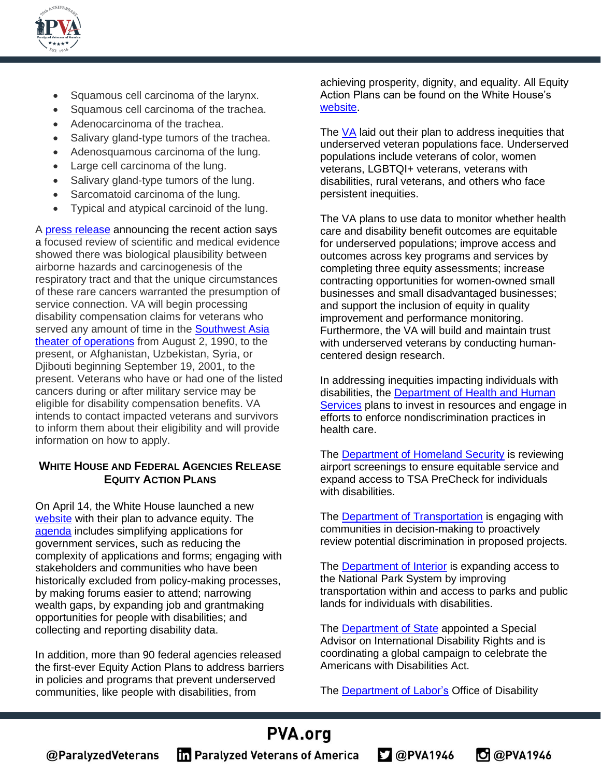

- Squamous cell carcinoma of the larynx.
- Squamous cell carcinoma of the trachea.
- Adenocarcinoma of the trachea.
- Salivary gland-type tumors of the trachea.
- Adenosquamous carcinoma of the lung.
- Large cell carcinoma of the lung.
- Salivary gland-type tumors of the lung.
- Sarcomatoid carcinoma of the lung.
- Typical and atypical carcinoid of the lung.

A [press release](https://www.va.gov/OPA/PRESSREL/pressrelease.cfm?id=5786) announcing the recent action says a focused review of scientific and medical evidence showed there was biological plausibility between airborne hazards and carcinogenesis of the respiratory tract and that the unique circumstances of these rare cancers warranted the presumption of service connection. VA will begin processing disability compensation claims for veterans who served any amount of time in the **Southwest Asia** [theater of operations](https://gcc02.safelinks.protection.outlook.com/?url=https%3A%2F%2Fwww.publichealth.va.gov%2Fexposures%2Fburnpits%2Findex.asp&data=05%7C01%7C%7C076f18ac9b87488904fd08da26bda31d%7Ce95f1b23abaf45ee821db7ab251ab3bf%7C0%7C0%7C637864893167467339%7CUnknown%7CTWFpbGZsb3d8eyJWIjoiMC4wLjAwMDAiLCJQIjoiV2luMzIiLCJBTiI6Ik1haWwiLCJXVCI6Mn0%3D%7C3000%7C%7C%7C&sdata=MmHjQW3KpK%2F7uBIPdFrJmSjqZf4o2fhSi6SY4UJm07I%3D&reserved=0) from August 2, 1990, to the present, or Afghanistan, Uzbekistan, Syria, or Djibouti beginning September 19, 2001, to the present. Veterans who have or had one of the listed cancers during or after military service may be eligible for disability compensation benefits. VA intends to contact impacted veterans and survivors to inform them about their eligibility and will provide information on how to apply.

#### **WHITE HOUSE AND FEDERAL AGENCIES RELEASE EQUITY ACTION PLANS**

On April 14, the White House launched a new [website](https://www.whitehouse.gov/equity/) with their plan to advance equity. The [agenda](https://www.whitehouse.gov/briefing-room/statements-releases/2022/04/14/fact-sheet-biden-harris-administration-releases-agency-equity-action-plans-to-advance-equity-and-racial-justice-across-the-federal-government/) includes simplifying applications for government services, such as reducing the complexity of applications and forms; engaging with stakeholders and communities who have been historically excluded from policy-making processes, by making forums easier to attend; narrowing wealth gaps, by expanding job and grantmaking opportunities for people with disabilities; and collecting and reporting disability data.

In addition, more than 90 federal agencies released the first-ever Equity Action Plans to address barriers in policies and programs that prevent underserved communities, like people with disabilities, from

achieving prosperity, dignity, and equality. All Equity Action Plans can be found on the White House's [website.](https://www.whitehouse.gov/equity/)

The  $VA$  laid out their plan to address inequities that underserved veteran populations face. Underserved populations include veterans of color, women veterans, LGBTQI+ veterans, veterans with disabilities, rural veterans, and others who face persistent inequities.

The VA plans to use data to monitor whether health care and disability benefit outcomes are equitable for underserved populations; improve access and outcomes across key programs and services by completing three equity assessments; increase contracting opportunities for women-owned small businesses and small disadvantaged businesses; and support the inclusion of equity in quality improvement and performance monitoring. Furthermore, the VA will build and maintain trust with underserved veterans by conducting humancentered design research.

In addressing inequities impacting individuals with disabilities, the [Department of Health and](https://www.whitehouse.gov/wp-content/uploads/2022/04/HHS-EO13985-equity-summary.pdf) Human [Services](https://www.whitehouse.gov/wp-content/uploads/2022/04/HHS-EO13985-equity-summary.pdf) plans to invest in resources and engage in efforts to enforce nondiscrimination practices in health care.

The [Department of Homeland Security](https://www.whitehouse.gov/wp-content/uploads/2022/04/DHS-EO13985-equity-summary.pdf) is reviewing airport screenings to ensure equitable service and expand access to TSA PreCheck for individuals with disabilities.

The **Department of Transportation** is engaging with communities in decision-making to proactively review potential discrimination in proposed projects.

The **Department of Interior** is expanding access to the National Park System by improving transportation within and access to parks and public lands for individuals with disabilities.

The [Department of State](https://www.whitehouse.gov/wp-content/uploads/2022/04/State-EO13985-equity-summary.pdf) appointed a Special Advisor on International Disability Rights and is coordinating a global campaign to celebrate the Americans with Disabilities Act.

The **Department of Labor's** Office of Disability

**O** @PVA1946

#### PVA.org @ParalyzedVeterans **The Paralyzed Veterans of America**  $2@$ PVA1946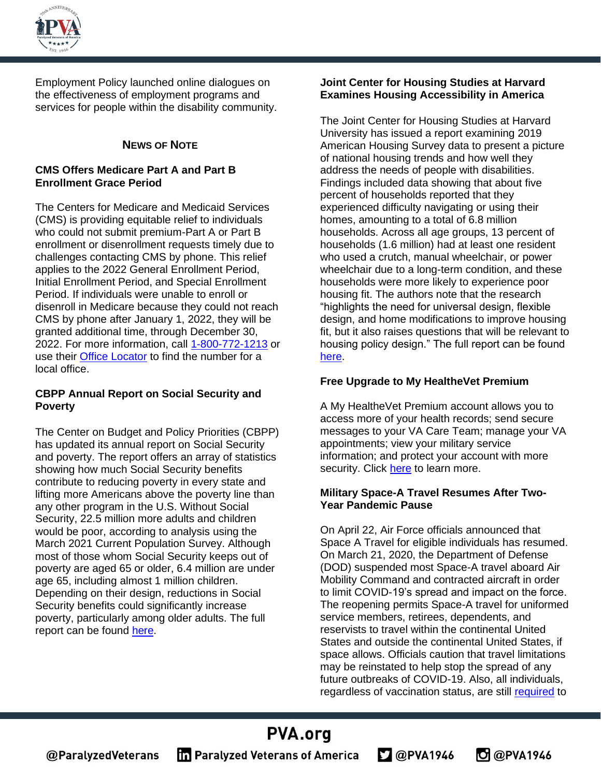

Employment Policy launched online dialogues on the effectiveness of employment programs and services for people within the disability community.

#### **NEWS OF NOTE**

#### **CMS Offers Medicare Part A and Part B Enrollment Grace Period**

The Centers for Medicare and Medicaid Services (CMS) is providing equitable relief to individuals who could not submit premium-Part A or Part B enrollment or disenrollment requests timely due to challenges contacting CMS by phone. This relief applies to the 2022 General Enrollment Period, Initial Enrollment Period, and Special Enrollment Period. If individuals were unable to enroll or disenroll in Medicare because they could not reach CMS by phone after January 1, 2022, they will be granted additional time, through December 30, 2022. For more information, call [1-800-772-1213](tel:18007721213) or use their [Office Locator](https://protect-us.mimecast.com/s/GpNnCv2r5QHG7wOszjo13?domain=u7061146.ct.sendgrid.net) to find the number for a local office.

#### **CBPP Annual Report on Social Security and Poverty**

The Center on Budget and Policy Priorities (CBPP) has updated its annual report on Social Security and poverty. The report offers an array of statistics showing how much Social Security benefits contribute to reducing poverty in every state and lifting more Americans above the poverty line than any other program in the U.S. Without Social Security, 22.5 million more adults and children would be poor, according to analysis using the March 2021 Current Population Survey. Although most of those whom Social Security keeps out of poverty are aged 65 or older, 6.4 million are under age 65, including almost 1 million children. Depending on their design, reductions in Social Security benefits could significantly increase poverty, particularly among older adults. The full report can be found [here.](https://www.cbpp.org/research/social-security/social-security-lifts-more-people-above-the-poverty-line-than-any-other)

#### **Joint Center for Housing Studies at Harvard Examines Housing Accessibility in America**

The Joint Center for Housing Studies at Harvard University has issued a report examining 2019 American Housing Survey data to present a picture of national housing trends and how well they address the needs of people with disabilities. Findings included data showing that about five percent of households reported that they experienced difficulty navigating or using their homes, amounting to a total of 6.8 million households. Across all age groups, 13 percent of households (1.6 million) had at least one resident who used a crutch, manual wheelchair, or power wheelchair due to a long-term condition, and these households were more likely to experience poor housing fit. The authors note that the research "highlights the need for universal design, flexible design, and home modifications to improve housing fit, but it also raises questions that will be relevant to housing policy design." The full report can be found [here.](https://www.jchs.harvard.edu/research-areas/working-papers/how-well-does-housing-stock-meet-accessibility-needs-analysis-2019?utm_source=NLIHC+All+Subscribers&utm_campaign=d8207f67cc-memo_031422&utm_medium=email&utm_term=0_e090383b5e-d8207f67cc-293258389&ct=t(memo_031422))

#### **Free Upgrade to My HealtheVet Premium**

A My HealtheVet Premium account allows you to access more of your health records; send secure messages to your VA Care Team; manage your VA appointments; view your military service information; and protect your account with more security. Click [here](https://www.myhealth.va.gov/premium) to learn more.

#### **Military Space-A Travel Resumes After Two-Year Pandemic Pause**

On April 22, Air Force officials announced that Space A Travel for eligible individuals has resumed. On March 21, 2020, the Department of Defense (DOD) suspended most Space-A travel aboard Air Mobility Command and contracted aircraft in order to limit COVID-19's spread and impact on the force. The reopening permits Space-A travel for uniformed service members, retirees, dependents, and reservists to travel within the continental United States and outside the continental United States, if space allows. Officials caution that travel limitations may be reinstated to help stop the spread of any future outbreaks of COVID-19. Also, all individuals, regardless of vaccination status, are still [required](https://www.amc.af.mil/Portals/12/22-A4T01%20Mask%20Wear%20in%20AMC%20Terminals%20and%20on%20DoD%20Aircraft%20to%20Include%20Patriot%20Express.pdf) to

O @PVA1946

 $200$ PVA1946

### PVA.org **The Paralyzed Veterans of America**

@ParalyzedVeterans